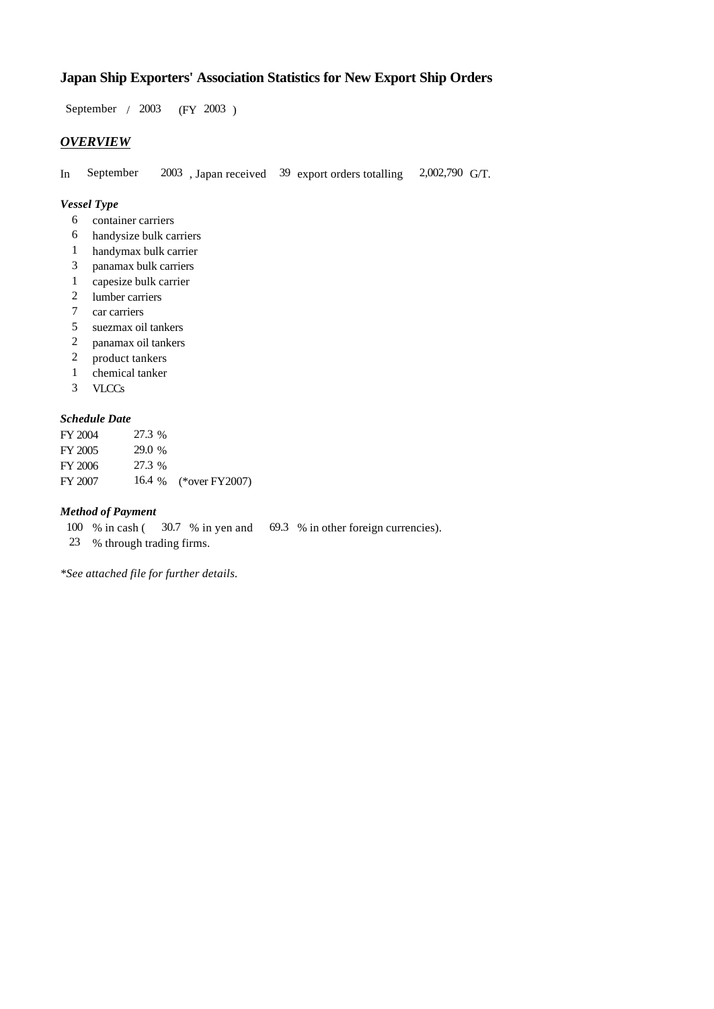# **Japan Ship Exporters' Association Statistics for New Export Ship Orders**

 $/ 2003$  (FY 2003) September / 2003

## *OVERVIEW*

In September 2003, Japan received 39 export orders totalling 2,002,790 G/T.

## *Vessel Type*

- container carriers 6
- handysize bulk carriers 6
- handymax bulk carrier 1
- panamax bulk carriers 3
- capesize bulk carrier 1
- lumber carriers 2
- car carriers 7
- suezmax oil tankers 5
- panamax oil tankers 2
- product tankers 2
- chemical tanker 1
- VLCCs 3

### *Schedule Date*

| FY 2004 | 27.3 % |                       |
|---------|--------|-----------------------|
| FY 2005 | 29.0 % |                       |
| FY 2006 | 27.3 % |                       |
| FY 2007 |        | 16.4 % (*over FY2007) |

#### *Method of Payment*

- 100 % in cash ( $30.7$  % in yen and  $69.3$  % in other foreign currencies).
- % through trading firms. 23

*\*See attached file for further details.*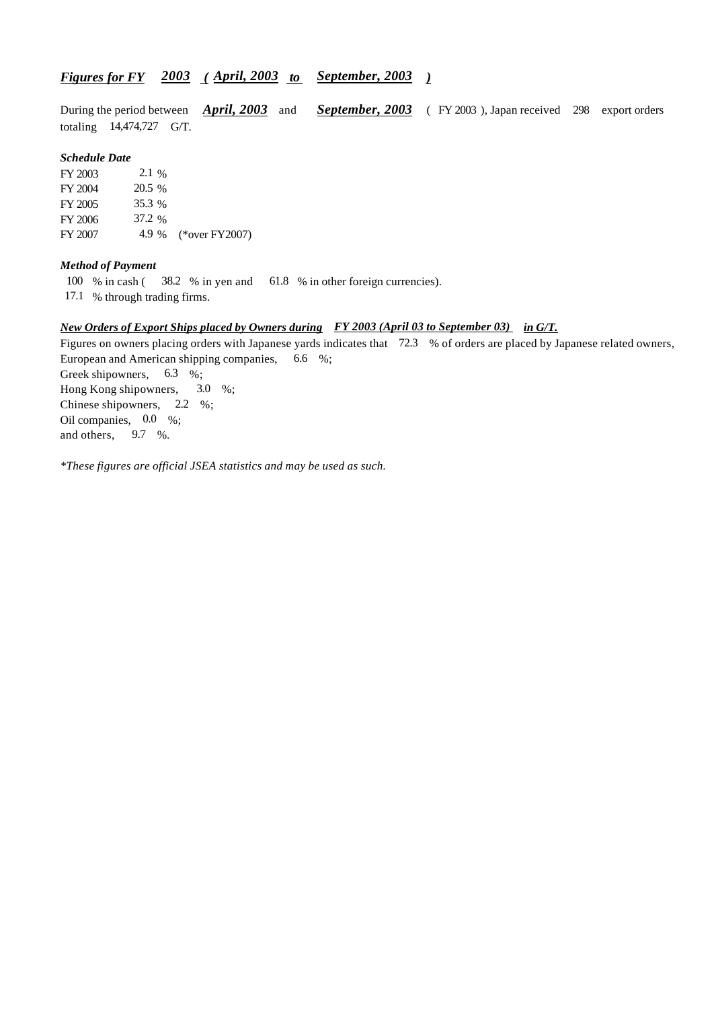## *Figures for FY* 2003 (April, 2003 to September, 2003)

During the period between *April, 2003* and *September, 2003* (FY 2003), Japan received 298 export orders totaling  $14,474,727$  G/T. During the period between *April, 2003* and

#### *Schedule Date*

FY 2003 FY 2004 FY 2005 FY 2006 FY 2007 4.9 % (\*over FY 2007) 2.1 % 20.5 % 35.3 37.2

#### *Method of Payment*

100 % in cash (38.2 % in yen and 61.8 % in other foreign currencies).

17.1 % through trading firms.

#### *New Orders of Export Ships placed by Owners during in G/T. FY 2003 (April 03 to September 03)*

Figures on owners placing orders with Japanese yards indicates that 72.3 % of orders are placed by Japanese related owners, European and American shipping companies,  $6.6\%$ ; Greek shipowners,  $6.3\%$ ; Hong Kong shipowners, Chinese shipowners,  $2.2 \div 6$ ; Oil companies,  $0.0\%$ ; and others,  $3.0\%$  $9.7 \frac{9}{6}$ .

*\*These figures are official JSEA statistics and may be used as such.*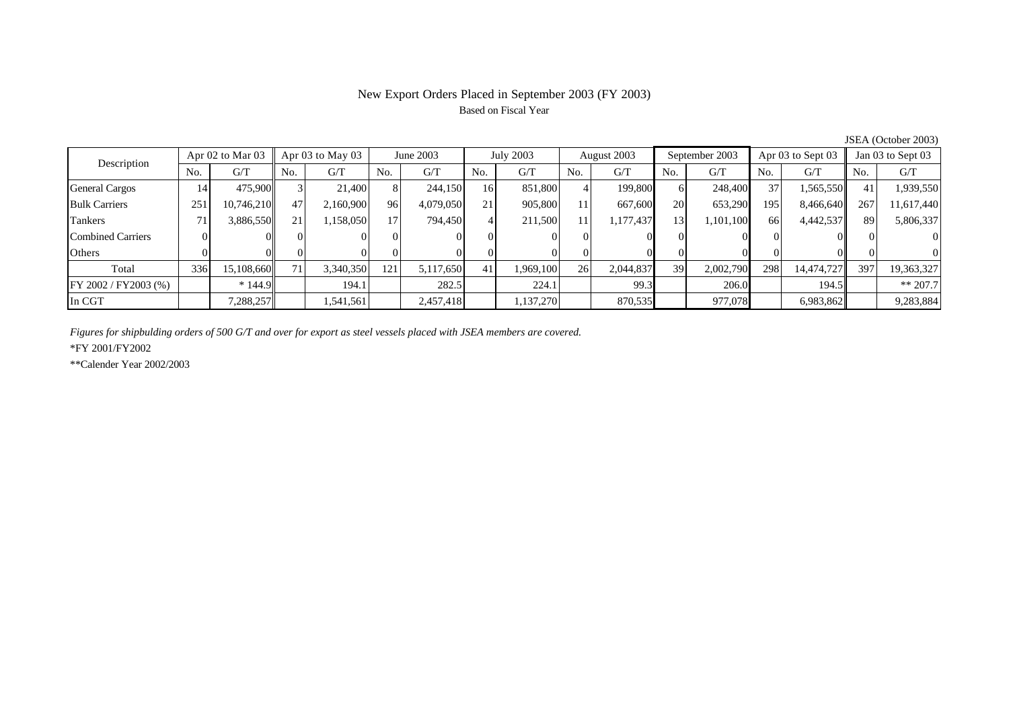# New Export Orders Placed in September 2003 (FY 2003) Based on Fiscal Year

| Description              | Apr $02$ to Mar $03$ |            | Apr 03 to May 03 |           | June 2003       |           | July 2003 |           | August 2003 |           | September 2003 |           | Apr 03 to Sept 03 |            | Jan 03 to Sept 03 |            |
|--------------------------|----------------------|------------|------------------|-----------|-----------------|-----------|-----------|-----------|-------------|-----------|----------------|-----------|-------------------|------------|-------------------|------------|
|                          | N <sub>o</sub>       | G/T        | No.              | G/T       | No.             | G/T       | No.       | G/T       | No.         | G/T       | N <sub>o</sub> | G/T       | No.               | G/T        | No.               | G/T        |
| <b>General Cargos</b>    | 14                   | 475,900    |                  | 21,400    |                 | 244,150   | 16        | 851,800   |             | 199,800   | 61             | 248,400   | 37                | 1,565,550  | 41                | 1,939,550  |
| <b>Bulk Carriers</b>     | 251                  | 10,746,210 | 47               | 2,160,900 | 96              | 4,079,050 | 21        | 905,800   |             | 667,600   | <b>20</b>      | 653,290   | 195               | 8,466,640  | 267               | 11,617,440 |
| Tankers                  |                      | 3,886,550  | 21               | ,158,050  | 17 <sup>1</sup> | 794,450   |           | 211,500   |             | 1,177,437 | 13             | 1,101,100 | 66                | 4,442,537  | 89                | 5,806,337  |
| <b>Combined Carriers</b> |                      |            |                  |           | $\Omega$        |           |           |           |             |           |                |           |                   |            |                   |            |
| Others                   |                      |            |                  |           |                 |           |           |           |             |           |                |           |                   |            |                   |            |
| Total                    | 336                  | 15,108,660 | 71               | 3,340,350 | 121             | 5,117,650 | 41        | 1,969,100 | 26          | 2,044,837 | 39             | 2,002,790 | 298               | 14,474,727 | 397               | 19,363,327 |
| FY 2002 / FY2003 (%)     |                      | $*144.9$   |                  | 194.1     |                 | 282.5     |           | 224.1     |             | 99.3      |                | 206.0     |                   | 194.5      |                   | $** 207.7$ |
| In CGT                   |                      | 7,288,257  |                  | 1,541,561 |                 | 2,457,418 |           | 137,270   |             | 870,535   |                | 977,078   |                   | 6,983,862  |                   | 9,283,884  |

JSEA (October 2003)

*Figures for shipbulding orders of 500 G/T and over for export as steel vessels placed with JSEA members are covered.*

\*FY 2001/FY2002

\*\*Calender Year 2002/2003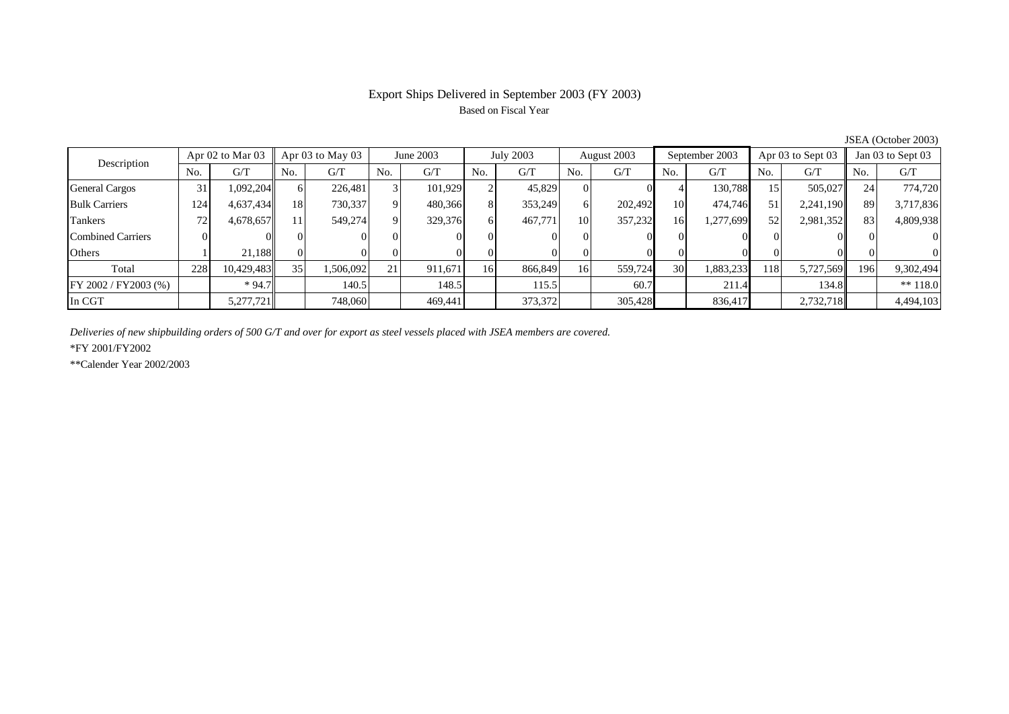# Export Ships Delivered in September 2003 (FY 2003) Based on Fiscal Year

| $500H + 1000H + 2000$    |                      |            |     |                  |          |           |              |           |     |             |     |                |     |                   |     |                   |  |
|--------------------------|----------------------|------------|-----|------------------|----------|-----------|--------------|-----------|-----|-------------|-----|----------------|-----|-------------------|-----|-------------------|--|
| Description              | Apr $02$ to Mar $03$ |            |     | Apr 03 to May 03 |          | June 2003 |              | July 2003 |     | August 2003 |     | September 2003 |     | Apr 03 to Sept 03 |     | Jan 03 to Sept 03 |  |
|                          | No.                  | G/T        | No. | G/T              | No.      | G/T       | No.          | G/T       | No. | G/T         | No. | G/T            | No. | G/T               | No. | G/T               |  |
| <b>General Cargos</b>    | 31                   | 1,092,204  |     | 226.481          |          | 101.929   |              | 45.829    |     |             |     | 130.788        | 15  | 505,027           | 24  | 774,720           |  |
| <b>Bulk Carriers</b>     | 124                  | 4,637,434  | 18  | 730,337          |          | 480,366   | $\mathbf{8}$ | 353,249   | ΩI  | 202,492     | 10  | 474,746        | 51  | 2,241,190         | 89  | 3,717,836         |  |
| Tankers                  | 72                   | 4,678,657  | 11  | 549,274          | $\Omega$ | 329,376   | 6            | 467,771   | 10  | 357,232     | 16  | 1,277,699      | 52  | 2,981,352         | 83  | 4,809,938         |  |
| <b>Combined Carriers</b> |                      |            |     |                  |          |           |              |           |     |             |     |                |     |                   |     | $\Omega$          |  |
| Others                   |                      | 21.188     |     |                  | 01       |           |              |           |     |             |     |                |     |                   |     | $\Omega$          |  |
| Total                    | 228                  | 10,429,483 | 35  | 1,506,092        | 21       | 911,671   | 16           | 866,849   | 16  | 559,724     | 30  | 1,883,233      | 118 | 5,727,569         | 196 | 9,302,494         |  |
| FY 2002 / FY2003 (%)     |                      | $*94.7$    |     | 140.5            |          | 148.5     |              | 115.5     |     | 60.7        |     | 211.4          |     | 134.8             |     | $** 118.0$        |  |
| In CGT                   |                      | 5,277,721  |     | 748,060          |          | 469.441   |              | 373,372   |     | 305,428     |     | 836.417        |     | 2,732,718         |     | 4,494,103         |  |

JSEA (October 2003)

*Deliveries of new shipbuilding orders of 500 G/T and over for export as steel vessels placed with JSEA members are covered.*

\*FY 2001/FY2002

\*\*Calender Year 2002/2003